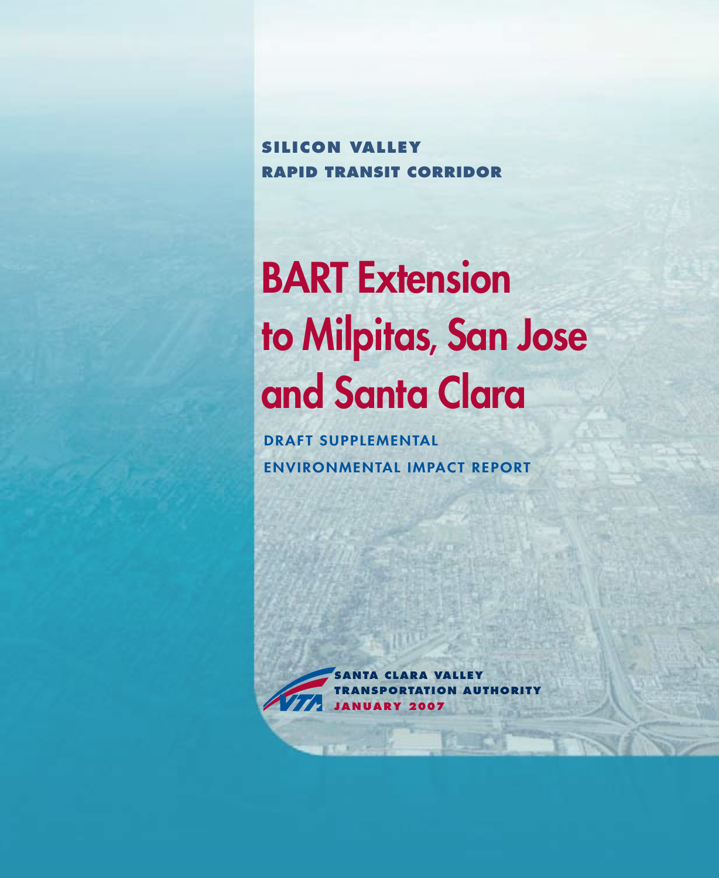**Silicon Valley Rapid Transit Corridor**

# BART Extension to Milpitas, San Jose and Santa Clara

DRAFT SUPPLEMENTAL ENVIRONMENTAL IMPACT REPORT

> **santa clara valley transportation authority j a n u a ry 2007**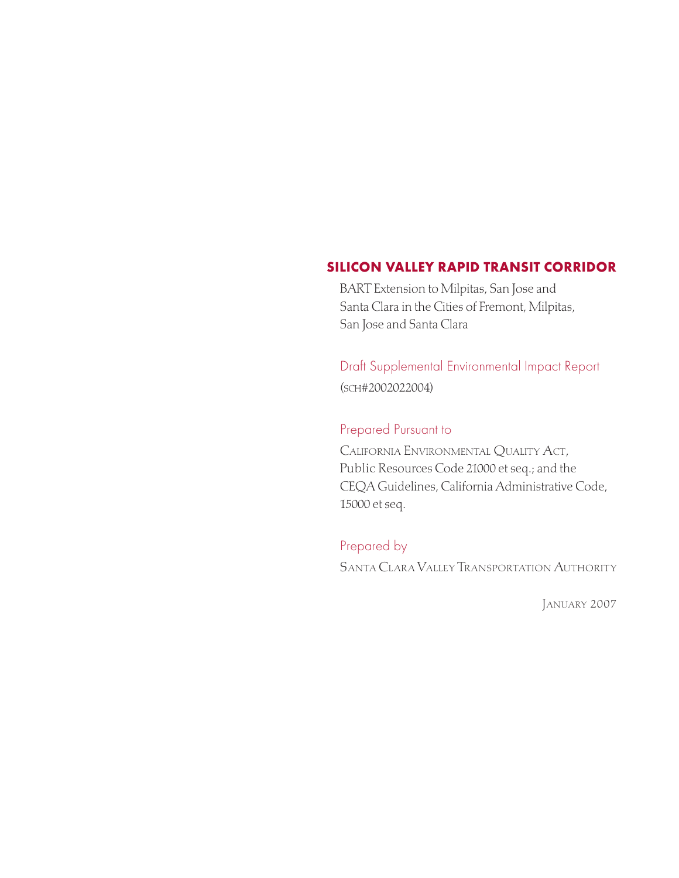#### SILICON VALLEY RAPID TRANSIT CORRIDOR

BART Extension to Milpitas, San Jose and Santa Clara in the Cities of Fremont, Milpitas, San Jose and Santa Clara

Draft Supplemental Environmental Impact Report (sch#2002022004)

## Prepared Pursuant to

California Environmental Quality Act, Public Resources Code 21000 et seq.; and the CEQA Guidelines, California Administrative Code, 15000 et seq.

## Prepared by

Santa Clara Valley Transportation Authority

January 2007